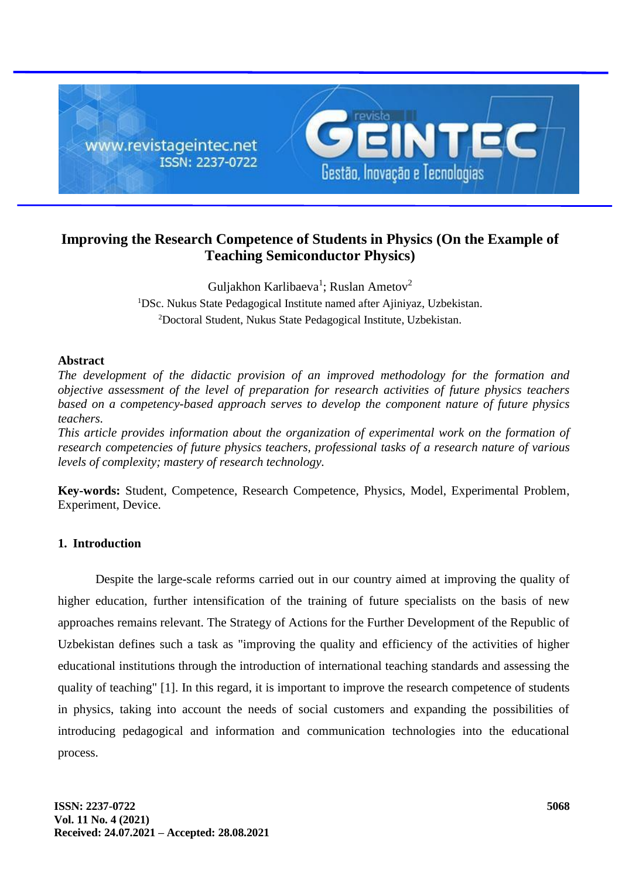

# **Improving the Research Competence of Students in Physics (On the Example of Teaching Semiconductor Physics)**

Guljakhon Karlibaeva<sup>1</sup>; Ruslan Ametov<sup>2</sup> <sup>1</sup>DSc. Nukus State Pedagogical Institute named after Ajiniyaz, Uzbekistan. <sup>2</sup>Doctoral Student, Nukus State Pedagogical Institute, Uzbekistan.

## **Abstract**

*The development of the didactic provision of an improved methodology for the formation and objective assessment of the level of preparation for research activities of future physics teachers based on a competency-based approach serves to develop the component nature of future physics teachers.*

*This article provides information about the organization of experimental work on the formation of research competencies of future physics teachers, professional tasks of a research nature of various levels of complexity; mastery of research technology.*

**Key-words:** Student, Competence, Research Competence, Physics, Model, Experimental Problem, Experiment, Device.

# **1. Introduction**

Despite the large-scale reforms carried out in our country aimed at improving the quality of higher education, further intensification of the training of future specialists on the basis of new approaches remains relevant. The Strategy of Actions for the Further Development of the Republic of Uzbekistan defines such a task as "improving the quality and efficiency of the activities of higher educational institutions through the introduction of international teaching standards and assessing the quality of teaching" [1]. In this regard, it is important to improve the research competence of students in physics, taking into account the needs of social customers and expanding the possibilities of introducing pedagogical and information and communication technologies into the educational process.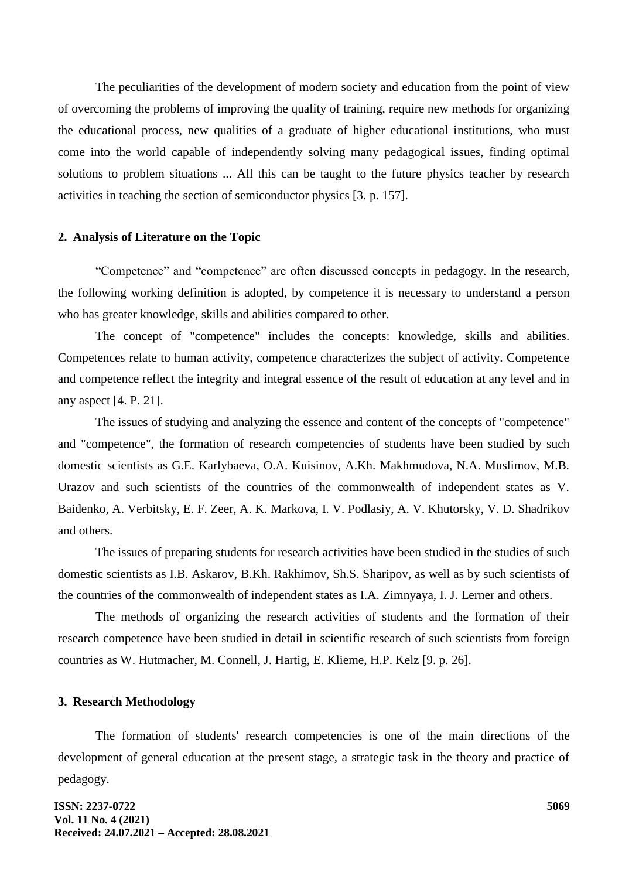The peculiarities of the development of modern society and education from the point of view of overcoming the problems of improving the quality of training, require new methods for organizing the educational process, new qualities of a graduate of higher educational institutions, who must come into the world capable of independently solving many pedagogical issues, finding optimal solutions to problem situations ... All this can be taught to the future physics teacher by research activities in teaching the section of semiconductor physics [3. p. 157].

#### **2. Analysis of Literature on the Topic**

"Competence" and "competence" are often discussed concepts in pedagogy. In the research, the following working definition is adopted, by competence it is necessary to understand a person who has greater knowledge, skills and abilities compared to other.

The concept of "competence" includes the concepts: knowledge, skills and abilities. Competences relate to human activity, competence characterizes the subject of activity. Competence and competence reflect the integrity and integral essence of the result of education at any level and in any aspect [4. P. 21].

The issues of studying and analyzing the essence and content of the concepts of "competence" and "competence", the formation of research competencies of students have been studied by such domestic scientists as G.E. Karlybaeva, O.A. Kuisinov, A.Kh. Makhmudova, N.A. Muslimov, M.B. Urazov and such scientists of the countries of the commonwealth of independent states as V. Baidenko, A. Verbitsky, E. F. Zeer, A. K. Markova, I. V. Podlasiy, A. V. Khutorsky, V. D. Shadrikov and others.

The issues of preparing students for research activities have been studied in the studies of such domestic scientists as I.B. Askarov, B.Kh. Rakhimov, Sh.S. Sharipov, as well as by such scientists of the countries of the commonwealth of independent states as I.A. Zimnyaya, I. J. Lerner and others.

The methods of organizing the research activities of students and the formation of their research competence have been studied in detail in scientific research of such scientists from foreign countries as W. Hutmacher, M. Connell, J. Hartig, E. Klieme, H.P. Kelz [9. p. 26].

#### **3. Research Methodology**

The formation of students' research competencies is one of the main directions of the development of general education at the present stage, a strategic task in the theory and practice of pedagogy.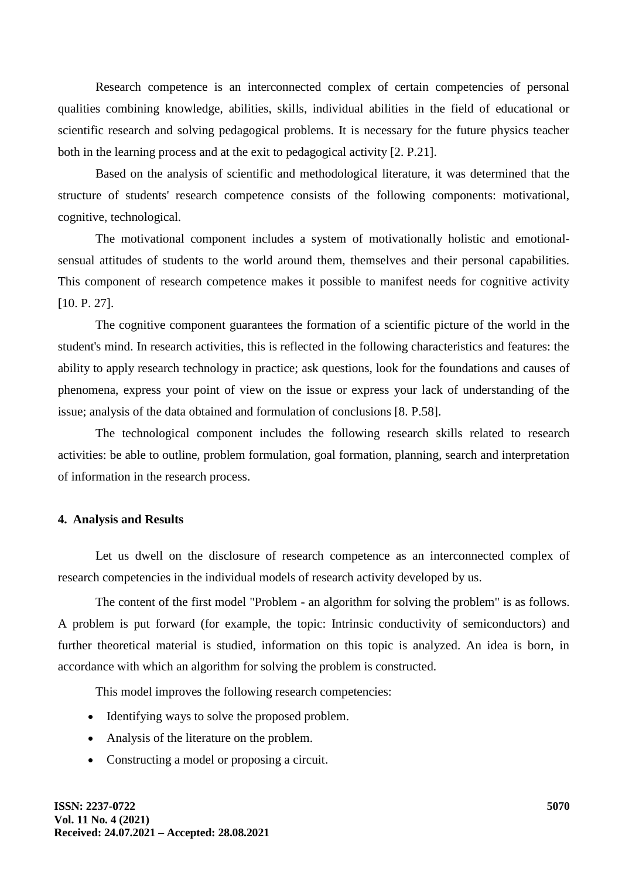Research competence is an interconnected complex of certain competencies of personal qualities combining knowledge, abilities, skills, individual abilities in the field of educational or scientific research and solving pedagogical problems. It is necessary for the future physics teacher both in the learning process and at the exit to pedagogical activity [2. P.21].

Based on the analysis of scientific and methodological literature, it was determined that the structure of students' research competence consists of the following components: motivational, cognitive, technological.

The motivational component includes a system of motivationally holistic and emotionalsensual attitudes of students to the world around them, themselves and their personal capabilities. This component of research competence makes it possible to manifest needs for cognitive activity [10. P. 27].

The cognitive component guarantees the formation of a scientific picture of the world in the student's mind. In research activities, this is reflected in the following characteristics and features: the ability to apply research technology in practice; ask questions, look for the foundations and causes of phenomena, express your point of view on the issue or express your lack of understanding of the issue; analysis of the data obtained and formulation of conclusions [8. P.58].

The technological component includes the following research skills related to research activities: be able to outline, problem formulation, goal formation, planning, search and interpretation of information in the research process.

# **4. Analysis and Results**

Let us dwell on the disclosure of research competence as an interconnected complex of research competencies in the individual models of research activity developed by us.

The content of the first model "Problem - an algorithm for solving the problem" is as follows. A problem is put forward (for example, the topic: Intrinsic conductivity of semiconductors) and further theoretical material is studied, information on this topic is analyzed. An idea is born, in accordance with which an algorithm for solving the problem is constructed.

This model improves the following research competencies:

- Identifying ways to solve the proposed problem.
- Analysis of the literature on the problem.
- Constructing a model or proposing a circuit.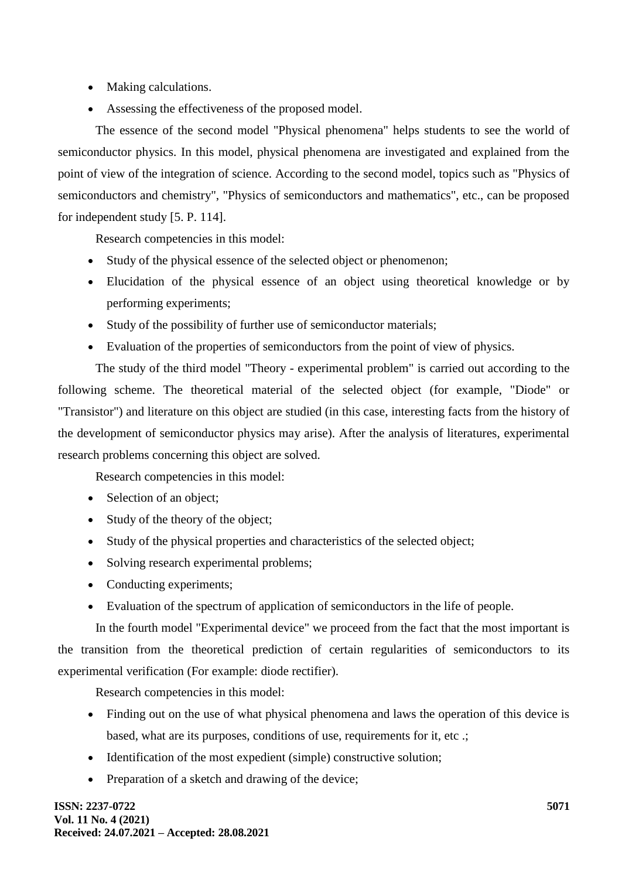- Making calculations.
- Assessing the effectiveness of the proposed model.

The essence of the second model "Physical phenomena" helps students to see the world of semiconductor physics. In this model, physical phenomena are investigated and explained from the point of view of the integration of science. According to the second model, topics such as "Physics of semiconductors and chemistry", "Physics of semiconductors and mathematics", etc., can be proposed for independent study [5. P. 114].

Research competencies in this model:

- Study of the physical essence of the selected object or phenomenon;
- Elucidation of the physical essence of an object using theoretical knowledge or by performing experiments;
- Study of the possibility of further use of semiconductor materials;
- Evaluation of the properties of semiconductors from the point of view of physics.

The study of the third model "Theory - experimental problem" is carried out according to the following scheme. The theoretical material of the selected object (for example, "Diode" or "Transistor") and literature on this object are studied (in this case, interesting facts from the history of the development of semiconductor physics may arise). After the analysis of literatures, experimental research problems concerning this object are solved.

Research competencies in this model:

- Selection of an object;
- Study of the theory of the object;
- Study of the physical properties and characteristics of the selected object;
- Solving research experimental problems;
- Conducting experiments;
- Evaluation of the spectrum of application of semiconductors in the life of people.

In the fourth model "Experimental device" we proceed from the fact that the most important is the transition from the theoretical prediction of certain regularities of semiconductors to its experimental verification (For example: diode rectifier).

Research competencies in this model:

- Finding out on the use of what physical phenomena and laws the operation of this device is based, what are its purposes, conditions of use, requirements for it, etc .;
- Identification of the most expedient (simple) constructive solution;
- Preparation of a sketch and drawing of the device;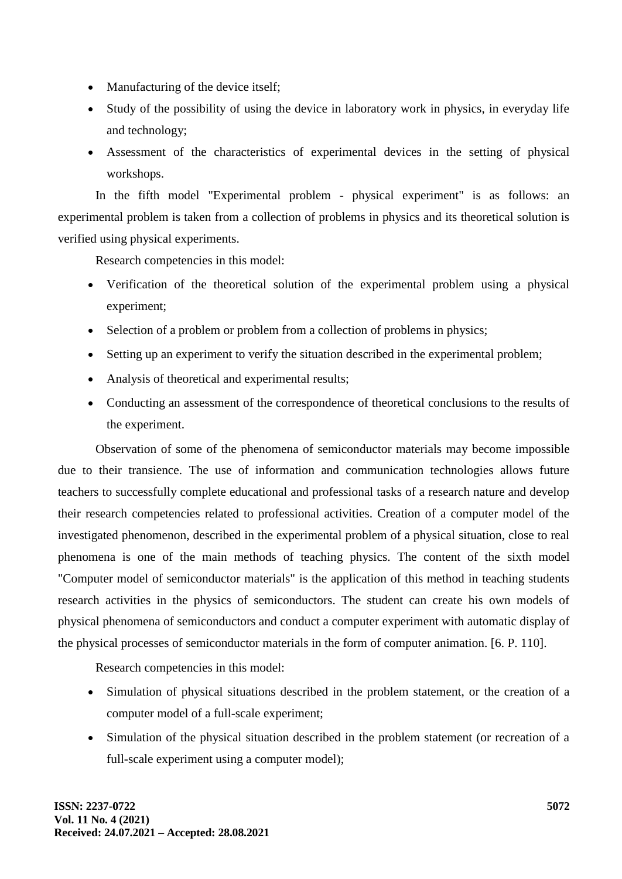- Manufacturing of the device itself;
- Study of the possibility of using the device in laboratory work in physics, in everyday life and technology;
- Assessment of the characteristics of experimental devices in the setting of physical workshops.

In the fifth model "Experimental problem - physical experiment" is as follows: an experimental problem is taken from a collection of problems in physics and its theoretical solution is verified using physical experiments.

Research competencies in this model:

- Verification of the theoretical solution of the experimental problem using a physical experiment;
- Selection of a problem or problem from a collection of problems in physics;
- Setting up an experiment to verify the situation described in the experimental problem;
- Analysis of theoretical and experimental results;
- Conducting an assessment of the correspondence of theoretical conclusions to the results of the experiment.

Observation of some of the phenomena of semiconductor materials may become impossible due to their transience. The use of information and communication technologies allows future teachers to successfully complete educational and professional tasks of a research nature and develop their research competencies related to professional activities. Creation of a computer model of the investigated phenomenon, described in the experimental problem of a physical situation, close to real phenomena is one of the main methods of teaching physics. The content of the sixth model "Computer model of semiconductor materials" is the application of this method in teaching students research activities in the physics of semiconductors. The student can create his own models of physical phenomena of semiconductors and conduct a computer experiment with automatic display of the physical processes of semiconductor materials in the form of computer animation. [6. P. 110].

Research competencies in this model:

- Simulation of physical situations described in the problem statement, or the creation of a computer model of a full-scale experiment;
- Simulation of the physical situation described in the problem statement (or recreation of a full-scale experiment using a computer model);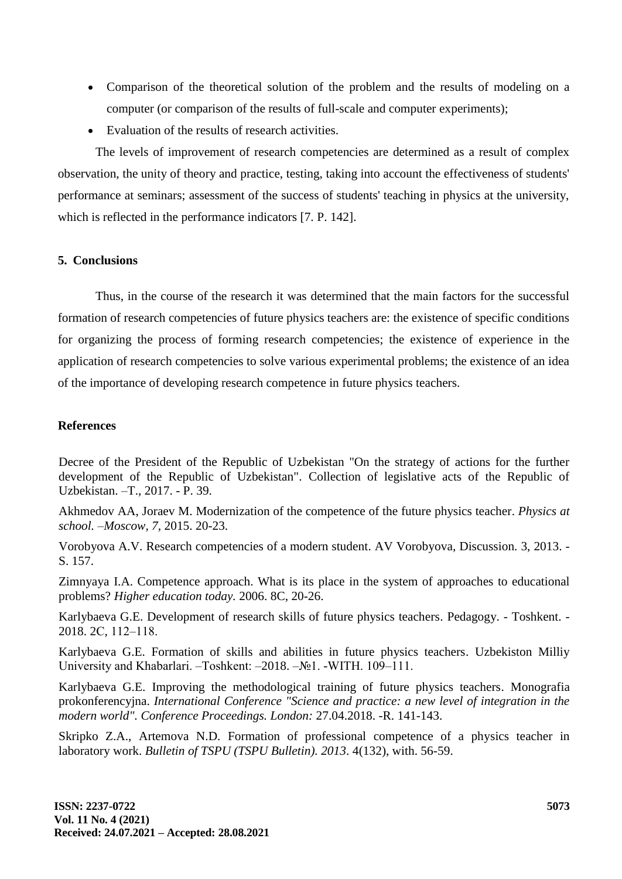- Comparison of the theoretical solution of the problem and the results of modeling on a computer (or comparison of the results of full-scale and computer experiments);
- Evaluation of the results of research activities.

The levels of improvement of research competencies are determined as a result of complex observation, the unity of theory and practice, testing, taking into account the effectiveness of students' performance at seminars; assessment of the success of students' teaching in physics at the university, which is reflected in the performance indicators [7. P. 142].

## **5. Conclusions**

Thus, in the course of the research it was determined that the main factors for the successful formation of research competencies of future physics teachers are: the existence of specific conditions for organizing the process of forming research competencies; the existence of experience in the application of research competencies to solve various experimental problems; the existence of an idea of the importance of developing research competence in future physics teachers.

#### **References**

Decree of the President of the Republic of Uzbekistan "On the strategy of actions for the further development of the Republic of Uzbekistan". Collection of legislative acts of the Republic of Uzbekistan. –T., 2017. - P. 39.

Akhmedov AA, Joraev M. Modernization of the competence of the future physics teacher. *Physics at school. –Moscow, 7,* 2015. 20-23.

Vorobyova A.V. Research competencies of a modern student. AV Vorobyova, Discussion. 3, 2013. - S. 157.

Zimnyaya I.A. Competence approach. What is its place in the system of approaches to educational problems? *Higher education today.* 2006. 8C, 20-26.

Karlybaeva G.E. Development of research skills of future physics teachers. Pedagogy. - Toshkent. - 2018. 2С, 112‒118.

Karlybaeva G.E. Formation of skills and abilities in future physics teachers. Uzbekiston Milliy University and Khabarlari. -Toshkent: -2018. -№1. -WITH. 109-111.

Karlybaeva G.E. Improving the methodological training of future physics teachers. Monografia prokonferencyjna. *International Conference "Science and practice: a new level of integration in the modern world". Conference Proceedings. London:* 27.04.2018. -R. 141-143.

Skripko Z.A., Artemova N.D. Formation of professional competence of a physics teacher in laboratory work. *Bulletin of TSPU (TSPU Bulletin). 2013*. 4(132), with. 56-59.